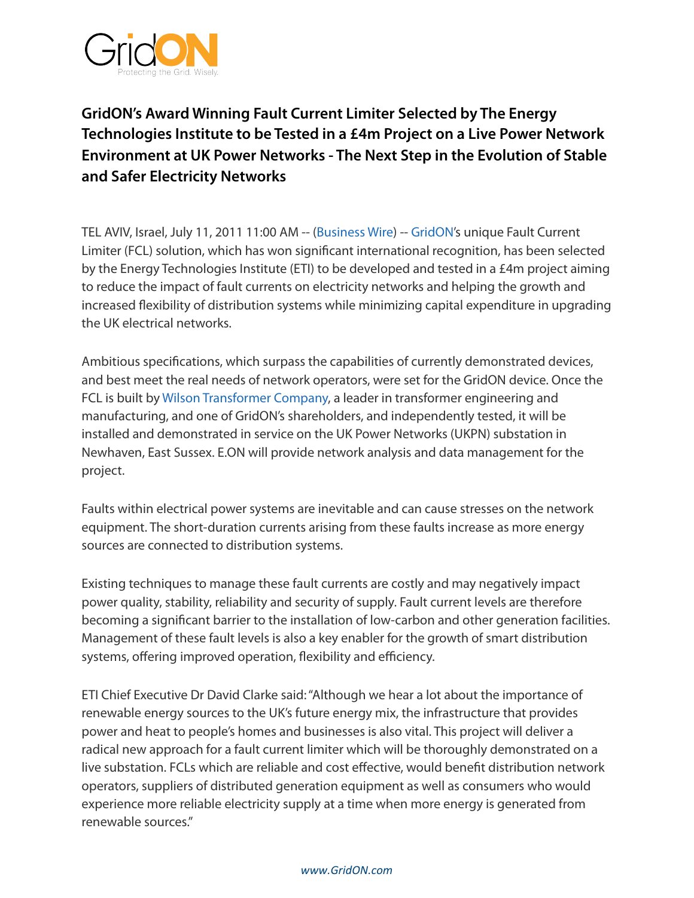

## **GridON's Award Winning Fault Current Limiter Selected by The Energy Technologies Institute to be Tested in a £4m Project on a Live Power Network Environment at UK Power Networks - The Next Step in the Evolution of Stable and Safer Electricity Networks**

TEL AVIV, Israel, July 11, 2011 11:00 AM -- [\(Business Wire](http://www.businesswire.com/)) -- [GridON](http://cts.businesswire.com/ct/CT?id=smartlink&url=http%3A%2F%2Fwww.gridon.com&esheet=6787404&lan=en-US&anchor=GridON&index=1&md5=36b9883ddcf9e37e3de86dfedb6e2805)'s unique Fault Current Limiter (FCL) solution, which has won significant international recognition, has been selected by the Energy Technologies Institute (ETI) to be developed and tested in a £4m project aiming to reduce the impact of fault currents on electricity networks and helping the growth and increased flexibility of distribution systems while minimizing capital expenditure in upgrading the UK electrical networks.

Ambitious specifications, which surpass the capabilities of currently demonstrated devices, and best meet the real needs of network operators, were set for the GridON device. Once the FCL is built by [Wilson Transformer Company](http://cts.businesswire.com/ct/CT?id=smartlink&url=http%3A%2F%2Fwww.wtc.com.au%2F&esheet=6787404&lan=en-US&anchor=Wilson+Transformer+Company&index=2&md5=a0abb3d209f41bee50c13b377d365bf2), a leader in transformer engineering and manufacturing, and one of GridON's shareholders, and independently tested, it will be installed and demonstrated in service on the UK Power Networks (UKPN) substation in Newhaven, East Sussex. E.ON will provide network analysis and data management for the project.

Faults within electrical power systems are inevitable and can cause stresses on the network equipment. The short-duration currents arising from these faults increase as more energy sources are connected to distribution systems.

Existing techniques to manage these fault currents are costly and may negatively impact power quality, stability, reliability and security of supply. Fault current levels are therefore becoming a significant barrier to the installation of low-carbon and other generation facilities. Management of these fault levels is also a key enabler for the growth of smart distribution systems, offering improved operation, flexibility and efficiency.

ETI Chief Executive Dr David Clarke said: "Although we hear a lot about the importance of renewable energy sources to the UK's future energy mix, the infrastructure that provides power and heat to people's homes and businesses is also vital. This project will deliver a radical new approach for a fault current limiter which will be thoroughly demonstrated on a live substation. FCLs which are reliable and cost effective, would benefit distribution network operators, suppliers of distributed generation equipment as well as consumers who would experience more reliable electricity supply at a time when more energy is generated from renewable sources."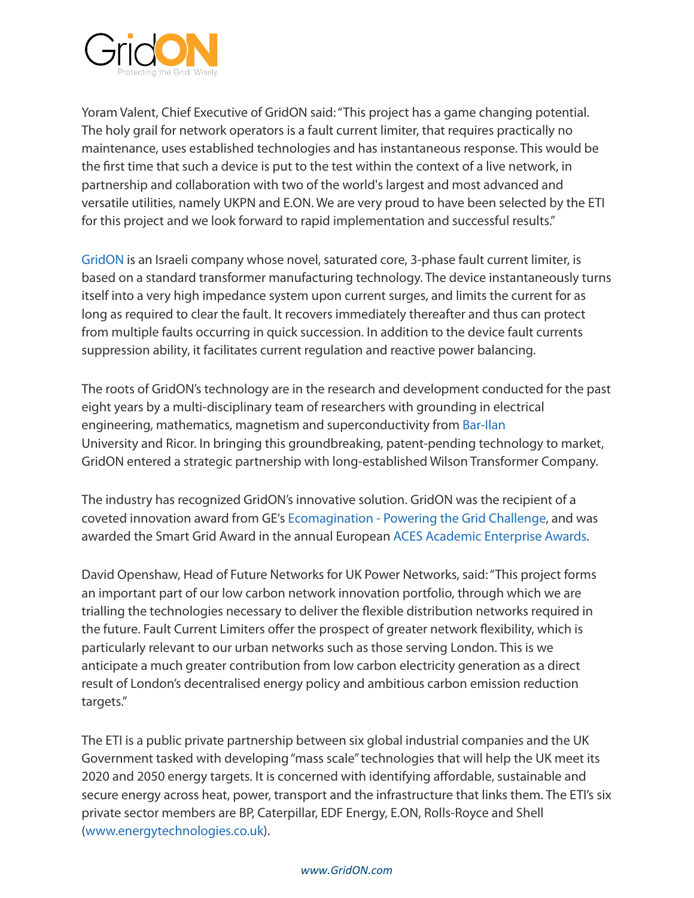

Yoram Valent, Chief Executive of GridON said: "This project has a game changing potential. The holy grail for network operators is a fault current limiter, that requires practically no maintenance, uses established technologies and has instantaneous response. This would be the first time that such a device is put to the test within the context of a live network, in partnership and collaboration with two of the world's largest and most advanced and versatile utilities, namely UKPN and E.ON. We are very proud to have been selected by the ETI for this project and we look forward to rapid implementation and successful results."

[GridON](http://cts.businesswire.com/ct/CT?id=smartlink&url=http%3A%2F%2Fwww.gridon.com&esheet=6787404&lan=en-US&anchor=GridON&index=3&md5=04726301318471d326c7ca9f0fcc66cc) is an Israeli company whose novel, saturated core, 3-phase fault current limiter, is based on a standard transformer manufacturing technology. The device instantaneously turns itself into a very high impedance system upon current surges, and limits the current for as long as required to clear the fault. It recovers immediately thereafter and thus can protect from multiple faults occurring in quick succession. In addition to the device fault currents suppression ability, it facilitates current regulation and reactive power balancing.

The roots of GridON's technology are in the research and development conducted for the past eight years by a multi-disciplinary team of researchers with grounding in electrical engineering, mathematics, magnetism and superconductivity from [Bar-Ilan](http://cts.businesswire.com/ct/CT?id=smartlink&url=http%3A%2F%2Fwww.biu.ac.il%2FESC%2Fhtslab%2F&esheet=6787404&lan=en-US&anchor=Bar-Ilan&index=4&md5=269cca36634617a4fb4e3ad258021e16) University and Ricor. In bringing this groundbreaking, patent-pending technology to market, GridON entered a strategic partnership with long-established Wilson Transformer Company.

The industry has recognized GridON's innovative solution. GridON was the recipient of a coveted innovation award from GE's [Ecomagination - Powering the Grid Challenge,](http://cts.businesswire.com/ct/CT?id=smartlink&url=http%3A%2F%2Fchallenge.ecomagination.com%2Fct%2Fe.bix%3Fc%3Dideas&esheet=6787404&lan=en-US&anchor=Ecomagination+-+Powering+the+Grid+Challenge&index=5&md5=43b21cde98272fe14f54474796c58de9) and was awarded the Smart Grid Award in the annual European [ACES Academic Enterprise Awards.](http://cts.businesswire.com/ct/CT?id=smartlink&url=http%3A%2F%2Fwww.sciencebusiness.net%2Fnews%2F74745%2FEurope%25E2%2580%2599s-academic-innovators-recognised-in-ACES-awards&esheet=6787404&lan=en-US&anchor=ACES+Academic+Enterprise+Awards&index=6&md5=3c758659adfa4f2b4168dd571a9b6663)

David Openshaw, Head of Future Networks for UK Power Networks, said: "This project forms an important part of our low carbon network innovation portfolio, through which we are trialling the technologies necessary to deliver the flexible distribution networks required in the future. Fault Current Limiters offer the prospect of greater network flexibility, which is particularly relevant to our urban networks such as those serving London. This is we anticipate a much greater contribution from low carbon electricity generation as a direct result of London's decentralised energy policy and ambitious carbon emission reduction targets."

The ETI is a public private partnership between six global industrial companies and the UK Government tasked with developing "mass scale" technologies that will help the UK meet its 2020 and 2050 energy targets. It is concerned with identifying affordable, sustainable and secure energy across heat, power, transport and the infrastructure that links them. The ETI's six private sector members are BP, Caterpillar, EDF Energy, E.ON, Rolls-Royce and Shell [\(www.energytechnologies.co.uk\)](http://cts.businesswire.com/ct/CT?id=smartlink&url=http%3A%2F%2Fwww.energytechnologies.co.uk&esheet=6787404&lan=en-US&anchor=www.energytechnologies.co.uk&index=7&md5=1396350df2e4d906b400a88dba83dfc1).

## *www.GridON.com*